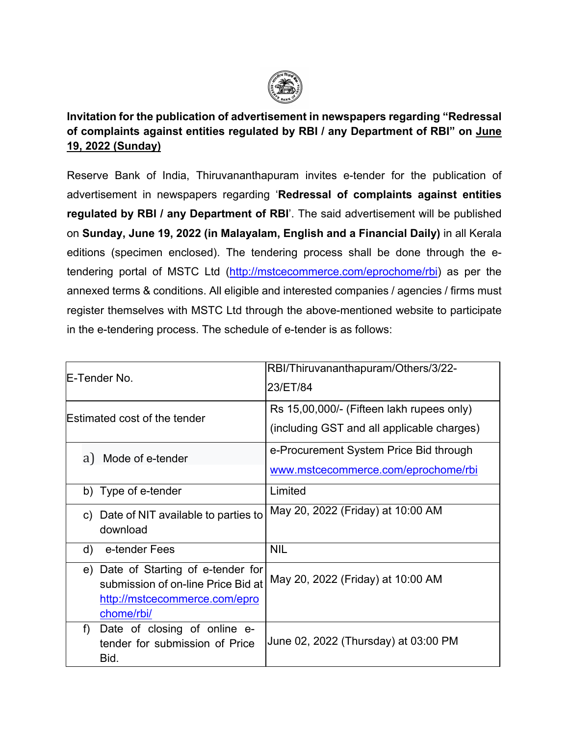

# **Invitation for the publication of advertisement in newspapers regarding "Redressal of complaints against entities regulated by RBI / any Department of RBI" on June 19, 2022 (Sunday)**

Reserve Bank of India, Thiruvananthapuram invites e-tender for the publication of advertisement in newspapers regarding '**Redressal of complaints against entities regulated by RBI / any Department of RBI**'. The said advertisement will be published on **Sunday, June 19, 2022 (in Malayalam, English and a Financial Daily)** in all Kerala editions (specimen enclosed). The tendering process shall be done through the etendering portal of MSTC Ltd [\(http://mstcecommerce.com/eprochome/rbi\)](https://www.mstcecommerce.com/eprochome/rbi) as per the annexed terms & conditions. All eligible and interested companies / agencies / firms must register themselves with MSTC Ltd through the above-mentioned website to participate in the e-tendering process. The schedule of e-tender is as follows:

| E-Tender No.                                                                                                             | RBI/Thiruvananthapuram/Others/3/22-<br>23/ET/84                                         |
|--------------------------------------------------------------------------------------------------------------------------|-----------------------------------------------------------------------------------------|
| Estimated cost of the tender                                                                                             | Rs 15,00,000/- (Fifteen lakh rupees only)<br>(including GST and all applicable charges) |
| a) Mode of e-tender                                                                                                      | e-Procurement System Price Bid through<br>www.mstcecommerce.com/eprochome/rbi           |
| b) Type of e-tender                                                                                                      | Limited                                                                                 |
| c) Date of NIT available to parties to<br>download                                                                       | May 20, 2022 (Friday) at 10:00 AM                                                       |
| e-tender Fees<br>d)                                                                                                      | <b>NIL</b>                                                                              |
| e) Date of Starting of e-tender for<br>submission of on-line Price Bid at<br>http://mstcecommerce.com/epro<br>chome/rbi/ | May 20, 2022 (Friday) at 10:00 AM                                                       |
| Date of closing of online e-<br>f)<br>tender for submission of Price<br>Bid.                                             | June 02, 2022 (Thursday) at 03:00 PM                                                    |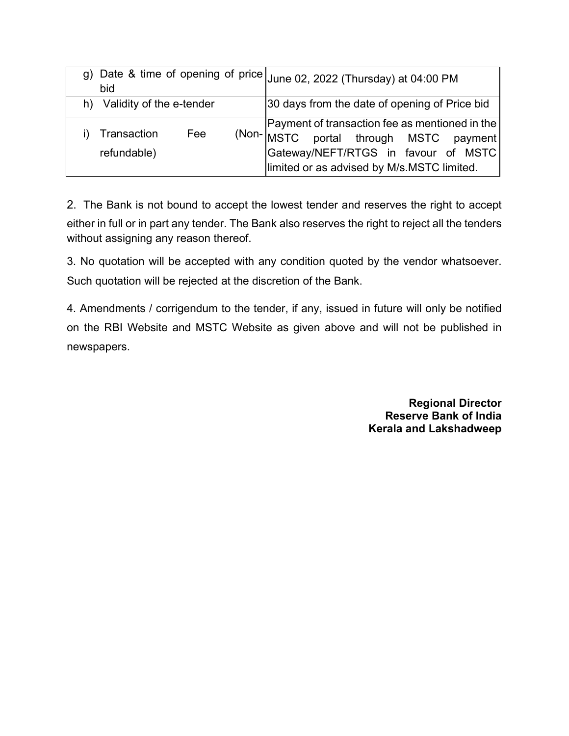| bid                            |     | g) Date & time of opening of price June 02, 2022 (Thursday) at 04:00 PM                                                                                                                    |
|--------------------------------|-----|--------------------------------------------------------------------------------------------------------------------------------------------------------------------------------------------|
| Validity of the e-tender<br>h) |     | 30 days from the date of opening of Price bid                                                                                                                                              |
| Transaction<br>refundable)     | Fee | Payment of transaction fee as mentioned in the<br>$(Non-_{MSTC})$<br>MSTC portal through MSTC payment<br>Gateway/NEFT/RTGS in favour of MSTC<br>limited or as advised by M/s MSTC limited. |

2. The Bank is not bound to accept the lowest tender and reserves the right to accept either in full or in part any tender. The Bank also reserves the right to reject all the tenders without assigning any reason thereof.

3. No quotation will be accepted with any condition quoted by the vendor whatsoever. Such quotation will be rejected at the discretion of the Bank.

4. Amendments / corrigendum to the tender, if any, issued in future will only be notified on the RBI Website and MSTC Website as given above and will not be published in newspapers.

> **Regional Director Reserve Bank of India Kerala and Lakshadweep**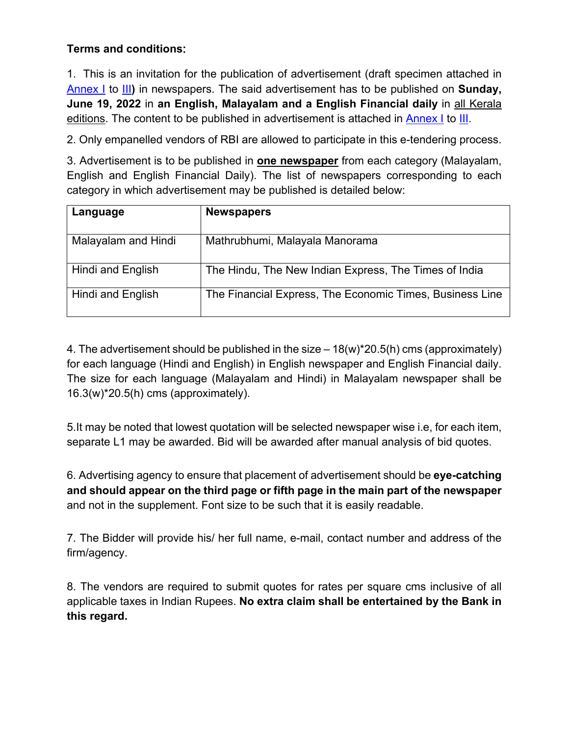#### **Terms and conditions**:

1. This is an invitation for the publication of advertisement (draft specimen attached in [Annex I](#page-4-0) to [III](#page-8-0)**)** in newspapers. The said advertisement has to be published on **Sunday, June 19, 2022** in **an English, Malayalam and a English Financial daily** in all Kerala editions. The content to be published in advertisement is attached in [Annex I](#page-4-0) to [III.](#page-8-0)

2. Only empanelled vendors of RBI are allowed to participate in this e-tendering process.

3. Advertisement is to be published in **one newspaper** from each category (Malayalam, English and English Financial Daily). The list of newspapers corresponding to each category in which advertisement may be published is detailed below:

| Language            | <b>Newspapers</b>                                        |
|---------------------|----------------------------------------------------------|
| Malayalam and Hindi | Mathrubhumi, Malayala Manorama                           |
| Hindi and English   | The Hindu, The New Indian Express, The Times of India    |
| Hindi and English   | The Financial Express, The Economic Times, Business Line |

4. The advertisement should be published in the size  $-18(w)^*20.5(h)$  cms (approximately) for each language (Hindi and English) in English newspaper and English Financial daily. The size for each language (Malayalam and Hindi) in Malayalam newspaper shall be 16.3(w)\*20.5(h) cms (approximately).

5.It may be noted that lowest quotation will be selected newspaper wise i.e, for each item, separate L1 may be awarded. Bid will be awarded after manual analysis of bid quotes.

6. Advertising agency to ensure that placement of advertisement should be **eye-catching and should appear on the third page or fifth page in the main part of the newspaper**  and not in the supplement. Font size to be such that it is easily readable.

7. The Bidder will provide his/ her full name, e-mail, contact number and address of the firm/agency.

8. The vendors are required to submit quotes for rates per square cms inclusive of all applicable taxes in Indian Rupees. **No extra claim shall be entertained by the Bank in this regard.**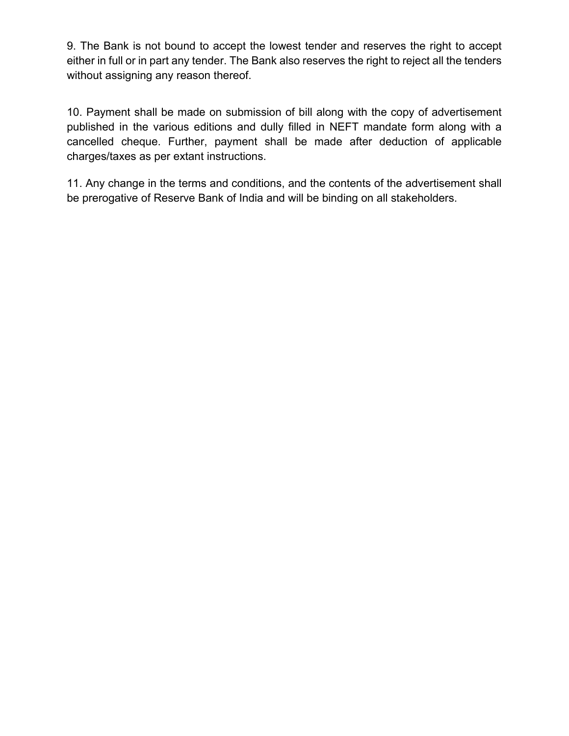9. The Bank is not bound to accept the lowest tender and reserves the right to accept either in full or in part any tender. The Bank also reserves the right to reject all the tenders without assigning any reason thereof.

10. Payment shall be made on submission of bill along with the copy of advertisement published in the various editions and dully filled in NEFT mandate form along with a cancelled cheque. Further, payment shall be made after deduction of applicable charges/taxes as per extant instructions.

11. Any change in the terms and conditions, and the contents of the advertisement shall be prerogative of Reserve Bank of India and will be binding on all stakeholders.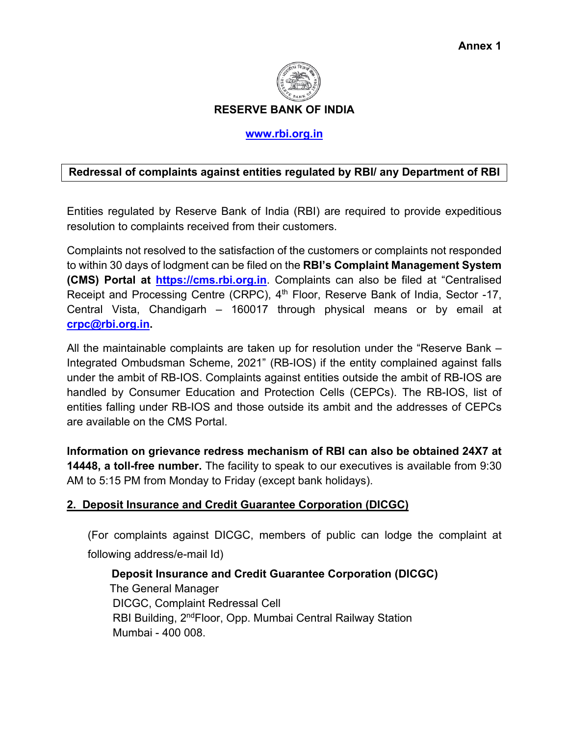

**RESERVE BANK OF INDIA**

#### **[www.rbi.org.in](https://www.rbi.org.in/)**

#### <span id="page-4-0"></span>**Redressal of complaints against entities regulated by RBI/ any Department of RBI**

Entities regulated by Reserve Bank of India (RBI) are required to provide expeditious resolution to complaints received from their customers.

Complaints not resolved to the satisfaction of the customers or complaints not responded to within 30 days of lodgment can be filed on the **RBI's Complaint Management System (CMS) Portal at [https://cms.rbi.org.in](https://cms.rbi.org.in/)**. Complaints can also be filed at "Centralised Receipt and Processing Centre (CRPC), 4<sup>th</sup> Floor, Reserve Bank of India, Sector -17, Central Vista, Chandigarh – 160017 through physical means or by email at **[crpc@rbi.org.in.](mailto:crpc@rbi.org.in)**

All the maintainable complaints are taken up for resolution under the "Reserve Bank – Integrated Ombudsman Scheme, 2021" (RB-IOS) if the entity complained against falls under the ambit of RB-IOS. Complaints against entities outside the ambit of RB-IOS are handled by Consumer Education and Protection Cells (CEPCs). The RB-IOS, list of entities falling under RB-IOS and those outside its ambit and the addresses of CEPCs are available on the CMS Portal.

**Information on grievance redress mechanism of RBI can also be obtained 24X7 at 14448, a toll-free number.** The facility to speak to our executives is available from 9:30 AM to 5:15 PM from Monday to Friday (except bank holidays).

#### **2. Deposit Insurance and Credit Guarantee Corporation (DICGC)**

(For complaints against DICGC, members of public can lodge the complaint at following address/e-mail Id)

 **Deposit Insurance and Credit Guarantee Corporation (DICGC)**  The General Manager DICGC, Complaint Redressal Cell RBI Building, 2ndFloor, Opp. Mumbai Central Railway Station Mumbai - 400 008.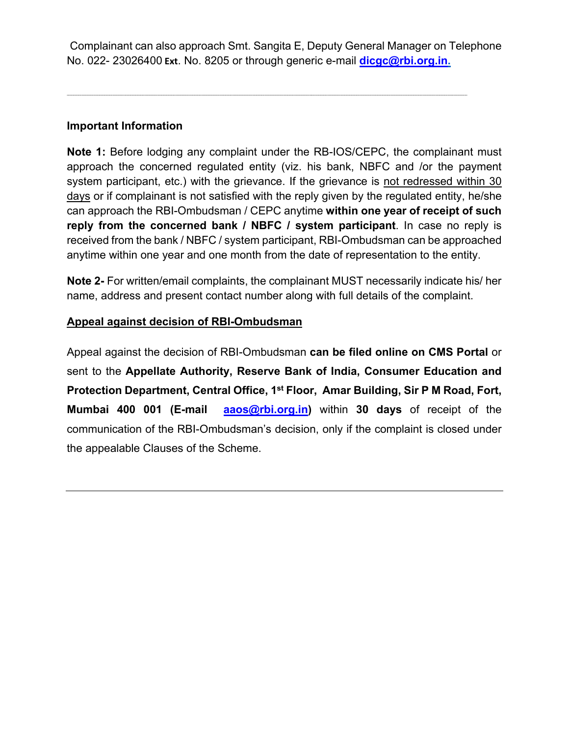Complainant can also approach Smt. Sangita E, Deputy General Manager on Telephone No. 022- 23026400 **Ext**. No. 8205 or through generic e-mail **[dicgc@rbi.org.in.](mailto:dicgc@rbi.org.in)**

------------------------------------------------------------------------------------------------------------------------------------------------------------------------------------------------------------------------------------------------------------------------------------------------------------------------------------

#### **Important Information**

**Note 1:** Before lodging any complaint under the RB-IOS/CEPC, the complainant must approach the concerned regulated entity (viz. his bank, NBFC and /or the payment system participant, etc.) with the grievance. If the grievance is not redressed within 30 days or if complainant is not satisfied with the reply given by the regulated entity, he/she can approach the RBI-Ombudsman / CEPC anytime **within one year of receipt of such reply from the concerned bank / NBFC / system participant**. In case no reply is received from the bank / NBFC / system participant, RBI-Ombudsman can be approached anytime within one year and one month from the date of representation to the entity.

**Note 2-** For written/email complaints, the complainant MUST necessarily indicate his/ her name, address and present contact number along with full details of the complaint.

#### **Appeal against decision of RBI-Ombudsman**

Appeal against the decision of RBI-Ombudsman **can be filed online on CMS Portal** or sent to the **Appellate Authority, Reserve Bank of India, Consumer Education and Protection Department, Central Office, 1st Floor, Amar Building, Sir P M Road, Fort, Mumbai 400 001 (E-mail [aaos@rbi.org.in\)](mailto:aaos@rbi.org.in)** within **30 days** of receipt of the communication of the RBI-Ombudsman's decision, only if the complaint is closed under the appealable Clauses of the Scheme.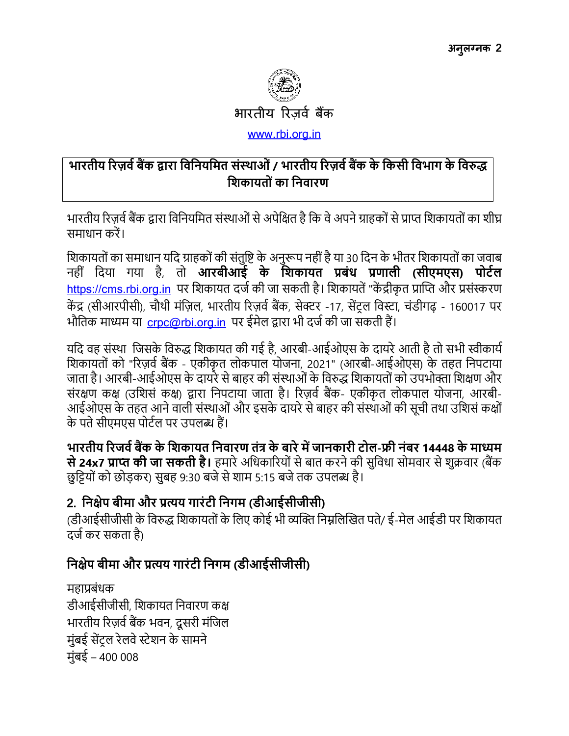

# भारतीय रिज़र्व बैंक द्वारा विनियमित संस्थाओं / भारतीय रिज़र्व बैंक के किसी विभाग के विरुद्ध शिकायतों का निवारण

भारतीय रिज़र्व बैंक द्वारा विनियमित संस्थाओं से अपेक्षित है कि वे अपने ग्राहकों से प्राप्त शिकायतों का शीघ्र समाधान करें।

शिकायतों का समाधान यदि ग्राहकों की संतुष्टि के अनुरूप नहीं है या 30 दिन के भीतर शिकायतों का जवाब नहीं दिया गया है, तो **आरबीआई के शिकायत प्रबंध प्रणाली (सीएमएस) पोर्टल** https://cms.rbi.org.in पर शिकायत दर्ज की जा सकती है। शिकायतें "केंद्रीकृत प्राप्ति और प्रसंस्करण केंद्र (सीआरपीसी), चौथी मंज़िल, भारतीय रिज़र्व बैंक, सेक्टर -17, सेंट्रल विस्टा, चंडीगढ़ - 160017 पर भौतिक माध्यम या crpc@rbi.org.in पर ईमेल द्वारा भी दर्ज की जा सकती हैं।

यदि वह संस्था जिसके विरुद्ध शिकायत की गई है, आरबी-आईओएस के दायरे आती है तो सभी स्वीकार्य शिकायतों को "रिज़र्व बैंक - एकीकृत लोकपाल योजना, 2021" (आरबी-आईओएस) के तहत निपटाया जाता है। आरबी-आईओएस के दायरे से बाहर की संस्थाओं के विरुद्ध शिकायतों को उपभोक्ता शिक्षण और संरक्षण कक्ष (उशिसं कक्ष) द्वारा निपटाया जाता है। रिज़र्व बैंक- एकीकृत लोकपाल योजना, आरबी-आईओएस के तहत आने वाली संस्थाओं और इसके दायरे से बाहर की संस्थाओं की सूची तथा उशिसं कक्षों के पते सीएमएस पोर्टल पर उपलब्ध हैं।

भारतीय रिजर्व बैंक के शिकायत निवारण तंत्र के बारे में जानकारी टोल-फ्री नंबर 14448 के माध्यम से 24x7 प्राप्त की जा सकती है। हमारे अधिकारियों से बात करने की सुविधा सोमवार से शुक्रवार (बैंक छुट्टियों को छोड़कर) सुबह 9:30 बजे से शाम 5:15 बजे तक उपलब्ध है।

# 2. निक्षेप बीमा और प्रत्यय गारंटी निगम (डीआईसीजीसी)

(डीआईसीजीसी के विरुद्ध शिकायतों के लिए कोई भी व्यक्ति निम्नलिखित पते/ ई-मेल आईडी पर शिकायत दर्ज कर सकता है)

# निक्षेप बीमा और प्रत्यय गारंटी निगम (डीआईसीजीसी)

महाप्रबंधक डीआईसीजीसी, शिकायत निवारण कक्ष भारतीय रिज़र्व बैंक भवन, दूसरी मंजिल मंबई सेंटल रेलवे स्टेशन के सामने मुंबई – 400 008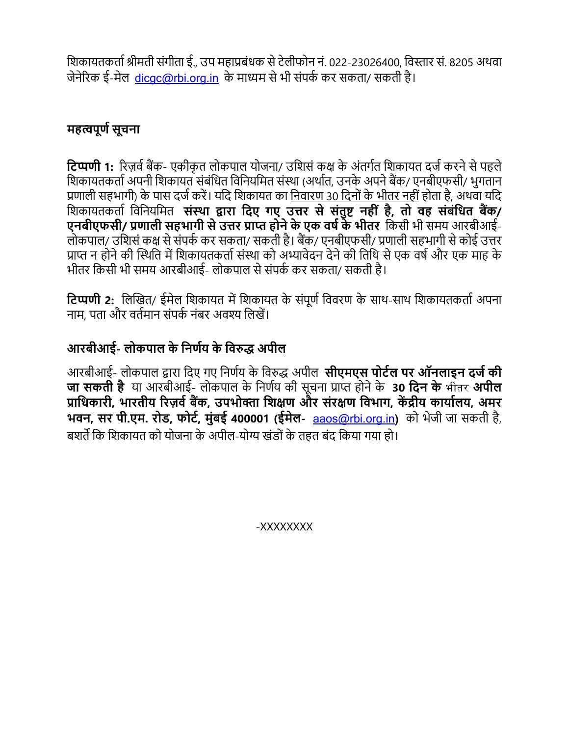शिकायतकर्ता श्रीमती संगीता ई.. उप महाप्रबंधक से टेलीफोन नं. 022-23026400. विस्तार सं. 8205 अथवा जेनेरिक ई-मेल, dicac@rbi.org.in, के माध्यम से भी संपर्क कर सकता/ सकती है।

# महत्वपूर्ण सूचना

**टिप्पणी 1:** रिज़र्व बैंक- एकीकृत लोकपाल योजना/ उशिसं कक्ष के अंतर्गत शिकायत दर्ज करने से पहले शिकायतकर्ता अपनी शिकायत संबंधित विनियमित संस्था (अर्थात, उनके अपने बैंक/ एनबीएफसी/ भूगतान प्रणाली सहभागी) के पास दर्ज करें। यदि शिकायत का निवारण 30 दिनों के भीतर नहीं होता है, अथवा यदि शिकायतकर्ता विनियमित संस्था द्वारा दिए गए उत्तर से संतुष्ट नहीं है, तो वह संबंधित बैंक/ एनबीएफसी/ प्रणाली सहभागी से उत्तर प्राप्त होने के एक वर्ष के भीतर किसी भी समय आरबीआई-लोकपाल/ उशिसं कक्ष से संपर्क कर सकता/ सकती है। बैंक/ एनबीएफसी/ प्रणाली सहभागी से कोई उत्तर प्राप्त न होने की स्थिति में शिकायतकर्ता संस्था को अभ्यावेदन देने की तिथि से एक वर्ष और एक माह के भीतर किसी भी समय आरबीआई- लोकपाल से संपर्क कर सकता/ सकती है।

**टिप्पणी 2:** लिखित/ ईमेल शिकायत में शिकायत के संपूर्ण विवरण के साथ-साथ शिकायतकर्ता अपना नाम, पता और वर्तमान संपर्क नंबर अवश्य लिखें।

# आरबीआई- लोकपाल के निर्णय के विरुद्ध अपील

आरबीआई- लोकपाल द्वारा दिए गए निर्णय के विरुद्ध अपील **सीएमएस पोर्टल पर ऑनलाइन दर्ज की जा सकती है** या आरबीआई- लोकपाल के निर्णय की सूचना प्राप्त होने के 30 दिन के भीतर अपील प्राधिकारी, भारतीय रिज़र्व बैंक, उपभोक्ता शिक्षण और संरक्षण विभाग, केंद्रीय कार्यालय, अमर भवन, सर पी.एम. रोड, फोर्ट, मुंबई 400001 (ईमेल- aaos@rbi.org.in) को भेजी जा सकती है, बशर्ते कि शिकायत को योजना के अपील-योग्य खंडों के तहत बंद किया गया हो।

XXXXXXXX-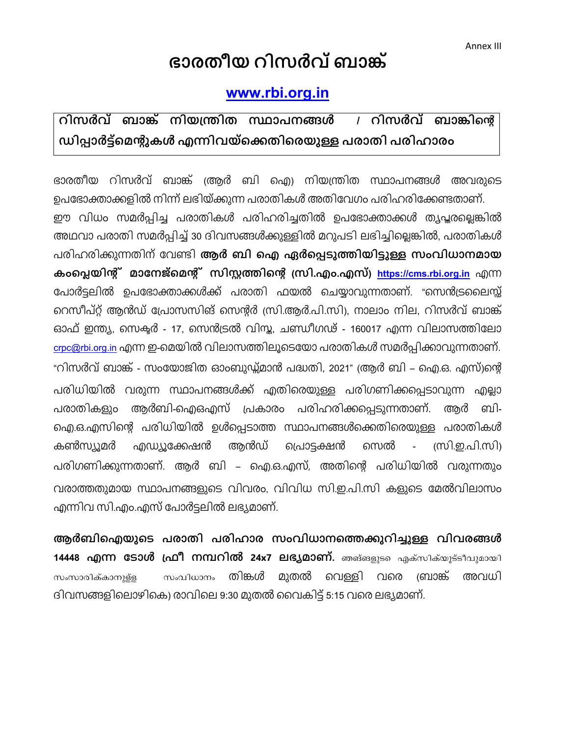# ഭാരതീയ റിസർവ് ബാങ്ക്

# www.rbi.org.in

#### <span id="page-8-0"></span>റിസർവ് ബാങ്ക് നിയന്ത്രിത സ്ഥാപനങ്ങൾ റിസർവ് ബാങ്കിന്റെ  $\frac{1}{2}$ ഡിപ്പാർട്ട്മെന്റുകൾ എന്നിവയ്ക്കെതിരെയുള്ള പരാതി പരിഹാരം

ഭാരതീയ റിസർവ് ബാങ്ക് ആർ ബി ഐ) നിയന്ത്രിത സ്ഥാപനങ്ങൾ അവരുടെ ഉപഭോക്താക്കളിൽ നിന്ന് ലഭിയ്ക്കുന്ന പരാതികൾ അതിവേഗം പരിഹരിക്കേണ്ടതാണ്. ഈ വിധം സമർപ്പിച്ച പരാതികൾ പരിഹരിച്ചതിൽ ഉപഭോക്താക്കൾ തൃപ്തല്ലെങ്കിൽ അഥവാ പരാതി സമർപ്പിച്ച് 30 ദിവസങ്ങൾക്കുള്ളിൽ മറുപടി ലഭിച്ചില്ലെങ്കിൽ, പരാതികൾ പരിഹരിക്കുന്നതിന് വേണ്ടി **ആർ ബി ഐ ഏർപ്പെടുത്തിയിട്ടുള്ള സംവിധാനമായ** കംപ്ലെയിന്റ് മാനേജ്മെന്റ് സിസ്റ്റത്തിന്റെ സ്രി.എം.എസ്) https://cms.rbi.org.in എന്ന പോർട്ടലിൽ ഉപഭോക്താക്കൾക്ക് പരാതി ഫയൽ ചെയ്യാവുന്നതാണ്. "സെൻട്രലൈസ്സ് റെസീപ്റ്റ് ആൻഡ് പ്രോസസിങ് സെന്റർ സ്രി.ആർ.പി.സി), നാലാം നില, റിസർവ് ബാങ്ക് ഓഫ് ഇന്ത്യ, സെക്ടർ - 17, സെൻട്രൽ വിസ്ത, ചണ്ഡീഗഢ് - 160017 എന്ന വിലാസത്തിലോ <u>crpc@rbi.org.in</u> എന്ന ഇ-മെയിൽ വിലാസത്തിലൂടെയോ പരാതികൾ സമർപ്പിക്കാവുന്നതാണ്. "റിസർവ് ബാങ്ക് - സംയോജിത ഓംബുഡ്ഡ്മാൻ പദ്ധതി, 2021" (ആർ ബി – ഐ.ഒ. എസ്)ന്റെ പരിധിയിൽ വരുന്ന സ്ഥാപനങ്ങൾക്ക് എതിരെയുള്ള പരിഗണിക്കപ്പെടാവുന്ന എല്ലാ ആർബി-ഐഒഎസ് പ്രകാരം പരിഹരിക്കപ്പെടുന്നതാണ്. ബി-പരാതികളും അർ ഐ.ഒ.എസിന്റെ പരിധിയിൽ ഉൾപ്പെടാത്ത സ്ഥാപനങ്ങൾക്കെതിരെയുള്ള പരാതികൾ കൺസ്യൂമർ എഡ്യൂക്കേഷൻ അൻഡ് പ്രൊടക്ഷൻ സെൽ (സി.ഇ.പി.സി)  $\mathcal{L}^{\mathcal{A}}$ പരിഗണിക്കുന്നതാണ്. ആർ ബി – ഐ.ഒ.എസ്, അതിന്റെ പരിധിയിൽ വരുന്നതും വരാത്തതുമായ സ്ഥാപനങ്ങളുടെ വിവരം. വിവിധ സി.ഇ.പി.സി കളുടെ മേൽവിലാസം എന്നിവ സി.എം.എസ് പോർട്ടലിൽ ലഭ്യമാണ്.

ആർബിഐയുടെ പരാതി പരിഹാര സംവിധാനത്തെക്കുറിച്ചുള്ള വിവരങ്ങൾ 14448 **എന്ന ടോൾ ഫ്രീ നമ്പറിൽ 24x7 ലഭ്യമാണ്**. ഞങ്ങളുടെ എക്സിക്യൂട്ടീവുമായി തിങ്കൾ മുതൽ വെള്ളി വരെ (ബാങ്ക് അവധി സംസാരിക്കാനുള്ള സംവിധാനം ദിവസങ്ങളിലൊഴികെ) രാവിലെ 9:30 മുതൽ വൈകിട്ട് 5:15 വരെ ലഭ്യമാണ്.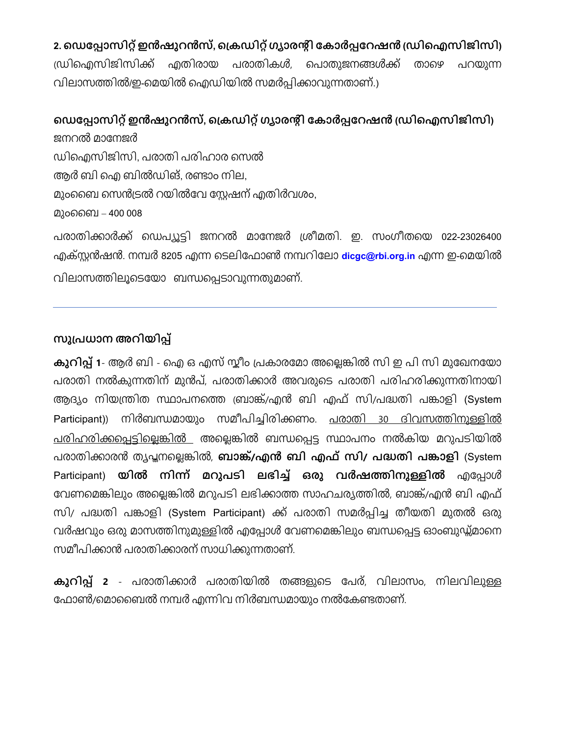# 2. ഡെപ്പോസിറ്റ് ഇൻഷുറൻസ്, ക്രെഡിറ്റ് ഗ്യാരന്റി കോർപ്പറേഷൻ ഡ്രിഐസിജിസി)

ഡ്രിഐസിജിസിക്ക് എതിരായ പരാതികൾ, പൊതുജനങ്ങൾക്ക് താഴെ പറയുന്ന വിലാസത്തിൽ/ഇ-മെയിൽ ഐഡിയിൽ സമർപ്പിക്കാവുന്നതാണ്.)

# ഡെപ്പോസിറ്റ് ഇൻഷുറൻസ്. ക്രെഡിറ്റ് ഗ്യാരന്റി കോർപ്പറേഷൻ ഡ്രിഐസിജിസി)

ജനറൽ മാനേജർ ഡിഐസിജിസി, പരാതി പരിഹാര സെൽ ആർ ബി ഐ ബിൽഡിങ്. രണ്ടാം നില. മുംബൈ സെൻട്രൽ റയിൽവേ സ്റ്റേഷന് എതിർവശം. മുംബൈ – 400 008

പരാതിക്കാർക്ക് ഡെപ്യൂട്ടി ജനറൽ മാനേജർ ശ്രീമതി. ഇ. സംഗീതയെ 022-23026400 എക്സ്റ്റൻഷൻ. നമ്പർ 8205 എന്ന ടെലിഫോൺ നമ്പറിലോ dicgc@rbi.org.in എന്ന ഇ-മെയിൽ വിലാസത്തിലൂടെയോ ബന്ധപ്പെടാവുന്നതുമാണ്.

### സുപ്രധാന അറിയിപ്പ്

കുറിപ്പ് 1- ആർ ബി - ഐ ഒ എസ് സ്കീം പ്രകാരമോ അല്ലെങ്കിൽ സി ഇ പി സി മുഖേനയോ പരാതി നൽകുന്നതിന് മുൻപ്, പരാതിക്കാർ അവരുടെ പരാതി പരിഹരിക്കുന്നതിനായി ആദ്യം നിയന്ത്രിത സ്ഥാപനത്തെ ബ്രാങ്ക്/എൻ ബി എഫ് സി/പദ്ധതി പങ്കാളി (System Participant)) നിർബന്ധമായും സമീപിച്ചിരിക്കണം. <u>പരാതി 30 ദിവസത്തിനുള്ളിൽ</u> പരിഹരിക്കപ്പെട്ടില്ലെങ്കിൽ അല്ലെങ്കിൽ ബന്ധപ്പെട്ട സ്ഥാപനം നൽകിയ മറുപടിയിൽ പരാതിക്കാരൻ ത്യപ്പനല്ലെങ്കിൽ, **ബാങ്ക്/എൻ ബി എഫ് സി/ പദ്ധതി പങ്കാളി** (System Participant) യിൽ നിന്ന് മറുപടി ലഭിച്ച് ഒരു വർഷത്തിനുള്ളിൽ എപ്പോൾ വേണമെങ്കിലും അല്ലെങ്കിൽ മറുപടി ലഭിക്കാത്ത സാഹചര്യത്തിൽ, ബാങ്ക്/എൻ ബി എഫ് സി/ പദ്ധതി പങ്കാളി (System Participant) ക്ക് പരാതി സമർപ്പിച്ച തീയതി മുതൽ ഒരു വർഷവും ഒരു മാസത്തിനുമുള്ളിൽ എപ്പോൾ വേണമെങ്കിലും ബന്ധപ്പെട്ട ഓംബുഡ്ഡ്മാനെ സമീപിക്കാൻ പരാതിക്കാരന് സാധിക്കുന്നതാണ്.

കുറിപ്പ് 2 - പരാതിക്കാർ പരാതിയിൽ തങ്ങളുടെ പേര്, വിലാസം, നിലവിലുള്ള ഫോൺ/മൊബൈൽ നമ്പർ എന്നിവ നിർബന്ധമായും നൽകേണ്ടതാണ്.